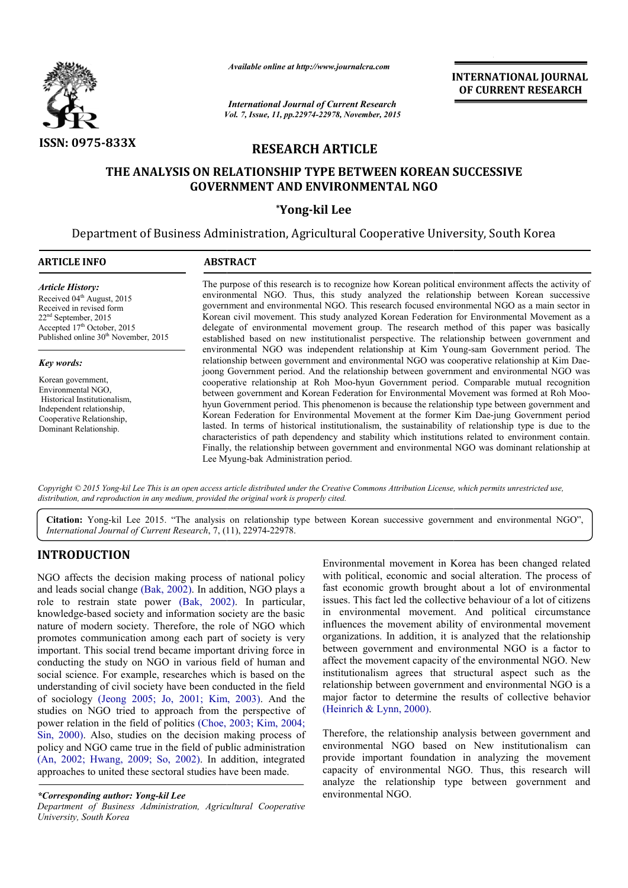

*Available online at http://www.journalcra.com*

*Vol. 7, Issue, 11, pp.22974-22978, November, 2015 International Journal of Current Research*

INTERNATIONAL INTERNATIONAL JOURNAL OF CURRENT RESEARCH

# RESEARCH ARTICLE

# THE ANALYSIS ON RELATIONSHIP TYPE BETWEEN KOREAN SUCCESSIVE GOVERNMENT AND ENVIRONMENTAL NGO

## \*Yong-kil Lee

Department of Business Administration, Agricultural Cooperative University, South Korea Business Administration, 1

#### ARTICLE INFO ABSTRACT

*Article History:* Received 04<sup>th</sup> August, 2015 Received in revised form 22nd September, 2015 Accepted 17<sup>th</sup> October, 2015 Published online 30<sup>th</sup> November, 2015

#### *Key words:*

Korean government, Environmental NGO, Historical Institutionalism, Independent relationship, Cooperative Relationship, Dominant Relationship.

The purpose of this research is to recognize how Korean political environment affects the activity of The purpose of this research is to recognize how Korean political environment affects the activity of environmental NGO. Thus, this study analyzed the relationship between Korean successive government and environmental NGO. This research focused environmental NGO as a main sector in Korean civil movement. This study analyzed Korean Federation for Environmental Movement as a delegate of environmental movement group. The research method of this paper was basically established based on new institutionalist per perspective. The relationship between government and environmental NGO was independent relationship at Kim Young-sam Government period. The relationship between government and environmental NGO was cooperative relationship at Kim Daejoong Government period. And the relationship between government and environmental NGO was cooperative relationship at Roh Moo-hyun Government period. Comparable mutual recognition between government and Korean Federation for Environmental Movement was formed at Roh Moo hyun Gover Government period. This phenomenon is because the relationship type between government and hyun Government period. This phenomenon is because the relationship type between government and<br>Korean Federation for Environmental Movement at the former Kim Dae-jung Government period lasted. In terms of historical institutionalism, the sustainability of relationship type is due to the characteristics of path dependency and stability which institutions related to environment contain. characteristics of path dependency and stability which institutions related to environment contain.<br>Finally, the relationship between government and environmental NGO was dominant relationship at Lee Myung Myung-bak Administration period. movement. This study analyzed Korean Federation for Environmental Movement as a environmental movement group. The research method of this paper was basically based on new institutionalist perspective. The relationship betw And the relationship between government and environmental NGO was<br>Roh Moo-hyun Government period. Comparable mutual recognition<br>orean Federation for Environmental Movement was formed at Roh Moo-

Copyright © 2015 Yong-kil Lee This is an open access article distributed under the Creative Commons Attribution License, which permits unrestricted use, *distribution, and reproduction in any medium, provided the original work is properly cited.*

Citation: Yong-kil Lee 2015. "The analysis on relationship type between Korean successive government and environmental NGO", *International Journal of Current Research*, 7, (11), 22974-22978.

## INTRODUCTION

NGO affects the decision making process of national policy and leads social change (Bak, 2002). In addition, NGO plays a and leads social change (Bak, 2002). In addition, NGO plays a role to restrain state power (Bak, 2002). In particular, knowledge-based society and information society are the basic nature of modern society. Therefore, the role of NGO which promotes communication among each part of society is very important. This social trend became important driving force in conducting the study on NGO in various field of human and social science. For example, researches which is based on the understanding of civil society have been conducted in the field of sociology (Jeong 2005; Jo, 2001; Kim, 2003) 2003). And the studies on NGO tried to approach from the perspective of power relation in the field of politics (Choe, 2003 2003; Kim, 2004; Sin, 2000). Also, studies on the decision making process of policy and NGO came true in the field of public administration (An, 2002; Hwang, 2009; So, 2002). In addition, integrated approaches to united these sectoral studies have been made. Environmental movement in Korea has been changed related<br>
and Social change (Bak, 2002). In addition, NGO plays and social and social alteration. The process of<br>
a restrain state power (Bak, 2002). In particular, issues. T

*Department of Business Administration, Agricultural Cooperative University, South Korea*

with political, economic and social alteration. The process of fast economic growth brought about a lot of environmental issues. This fact led the collective behaviour of a lot of citizens in environmental movement. And political circumstance influences the movement ability of environmental movement organizations. In addition, it is analyzed that the relationship between government and environmental NGO is a factor to affect the movement capacity of the environmental NGO. New institutionalism agrees that structural aspect such as the relationship between government and environmental NGO is a relationship between government and environmental NGO is a major factor to determine the results of collective behavior (Heinrich & Lynn, 2000). Environmental movement in Korea has been changed related with political, economic and social alteration. The process of fast economic growth brought about a lot of environmental issues. This fact led the collective behavio zations. In addition, it is analyzed that the relationship<br>en government and environmental NGO is a factor to<br>the movement capacity of the environmental NGO. New<br>tionalism agrees that structural aspect such as the

Therefore, the relationship analysis between government and environmental NGO based on New institutionalism can provide important foundation in analyzing the movement capacity of environmental NGO. Thus, this research will analyze the relationship type between government and environmental NGO. Therefore, the relationship analysis between government and environmental NGO based on New institutionalism can provide important foundation in analyzing the movement capacity of environmental NGO. Thus, this research will

*<sup>\*</sup>Corresponding author: Yong-kil Lee*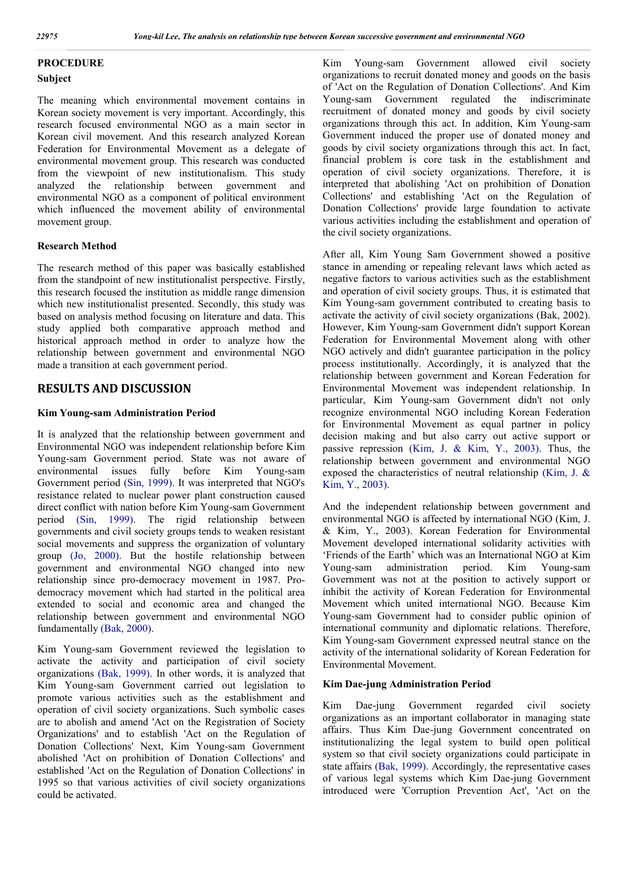## PROCEDURE

#### Subject

The meaning which environmental movement contains in Korean society movement is very important. Accordingly, this research focused environmental NGO as a main sector in Korean civil movement. And this research analyzed Korean Federation for Environmental Movement as a delegate of environmental movement group. This research was conducted from the viewpoint of new institutionalism. This study analyzed the relationship between government and environmental NGO as a component of political environment which influenced the movement ability of environmental movement group.

#### Research Method

The research method of this paper was basically established from the standpoint of new institutionalist perspective. Firstly, this research focused the institution as middle range dimension which new institutionalist presented. Secondly, this study was based on analysis method focusing on literature and data. This study applied both comparative approach method and historical approach method in order to analyze how the relationship between government and environmental NGO made a transition at each government period.

# RESULTS AND DISCUSSION

## Kim Young-sam Administration Period

It is analyzed that the relationship between government and Environmental NGO was independent relationship before Kim Young-sam Government period. State was not aware of environmental issues fully before Kim Young-sam Government period (Sin, 1999). It was interpreted that NGO's resistance related to nuclear power plant construction caused direct conflict with nation before Kim Young-sam Government period (Sin, 1999). The rigid relationship between governments and civil society groups tends to weaken resistant social movements and suppress the organization of voluntary group (Jo, 2000). But the hostile relationship between government and environmental NGO changed into new relationship since pro-democracy movement in 1987. Prodemocracy movement which had started in the political area extended to social and economic area and changed the relationship between government and environmental NGO fundamentally (Bak, 2000).

Kim Young-sam Government reviewed the legislation to activate the activity and participation of civil society organizations (Bak, 1999). In other words, it is analyzed that Kim Young-sam Government carried out legislation to promote various activities such as the establishment and operation of civil society organizations. Such symbolic cases are to abolish and amend 'Act on the Registration of Society Organizations' and to establish 'Act on the Regulation of Donation Collections' Next, Kim Young-sam Government abolished 'Act on prohibition of Donation Collections' and established 'Act on the Regulation of Donation Collections' in 1995 so that various activities of civil society organizations could be activated.

Kim Young-sam Government allowed civil society organizations to recruit donated money and goods on the basis of 'Act on the Regulation of Donation Collections'. And Kim Young-sam Government regulated the indiscriminate recruitment of donated money and goods by civil society organizations through this act. In addition, Kim Young-sam Government induced the proper use of donated money and goods by civil society organizations through this act. In fact, financial problem is core task in the establishment and operation of civil society organizations. Therefore, it is interpreted that abolishing 'Act on prohibition of Donation Collections' and establishing 'Act on the Regulation of Donation Collections' provide large foundation to activate various activities including the establishment and operation of the civil society organizations.

After all, Kim Young Sam Government showed a positive stance in amending or repealing relevant laws which acted as negative factors to various activities such as the establishment and operation of civil society groups. Thus, it is estimated that Kim Young-sam government contributed to creating basis to activate the activity of civil society organizations (Bak, 2002). However, Kim Young-sam Government didn't support Korean Federation for Environmental Movement along with other NGO actively and didn't guarantee participation in the policy process institutionally. Accordingly, it is analyzed that the relationship between government and Korean Federation for Environmental Movement was independent relationship. In particular, Kim Young-sam Government didn't not only recognize environmental NGO including Korean Federation for Environmental Movement as equal partner in policy decision making and but also carry out active support or passive repression (Kim, J. & Kim, Y., 2003). Thus, the relationship between government and environmental NGO exposed the characteristics of neutral relationship (Kim, J. & Kim, Y., 2003).

And the independent relationship between government and environmental NGO is affected by international NGO (Kim, J. & Kim, Y., 2003). Korean Federation for Environmental Movement developed international solidarity activities with 'Friends of the Earth' which was an International NGO at Kim Young-sam administration period. Kim Young-sam Government was not at the position to actively support or inhibit the activity of Korean Federation for Environmental Movement which united international NGO. Because Kim Young-sam Government had to consider public opinion of international community and diplomatic relations. Therefore, Kim Young-sam Government expressed neutral stance on the activity of the international solidarity of Korean Federation for Environmental Movement.

#### Kim Dae-jung Administration Period

Kim Dae-jung Government regarded civil society organizations as an important collaborator in managing state affairs. Thus Kim Dae-jung Government concentrated on institutionalizing the legal system to build open political system so that civil society organizations could participate in state affairs (Bak, 1999). Accordingly, the representative cases of various legal systems which Kim Dae-jung Government introduced were 'Corruption Prevention Act', 'Act on the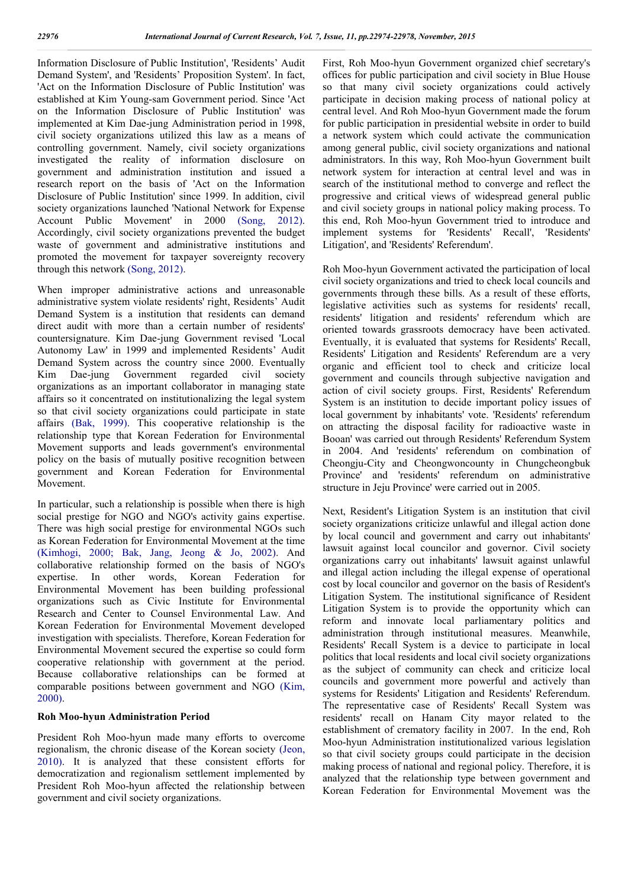Information Disclosure of Public Institution', 'Residents' Audit Demand System', and 'Residents' Proposition System'. In fact, 'Act on the Information Disclosure of Public Institution' was established at Kim Young-sam Government period. Since 'Act on the Information Disclosure of Public Institution' was implemented at Kim Dae-jung Administration period in 1998, civil society organizations utilized this law as a means of controlling government. Namely, civil society organizations investigated the reality of information disclosure on government and administration institution and issued a research report on the basis of 'Act on the Information Disclosure of Public Institution' since 1999. In addition, civil society organizations launched 'National Network for Expense Account Public Movement' in 2000 (Song, 2012). Accordingly, civil society organizations prevented the budget waste of government and administrative institutions and promoted the movement for taxpayer sovereignty recovery through this network (Song, 2012).

When improper administrative actions and unreasonable administrative system violate residents' right, Residents' Audit Demand System is a institution that residents can demand direct audit with more than a certain number of residents' countersignature. Kim Dae-jung Government revised 'Local Autonomy Law' in 1999 and implemented Residents' Audit Demand System across the country since 2000. Eventually Kim Dae-jung Government regarded civil society organizations as an important collaborator in managing state affairs so it concentrated on institutionalizing the legal system so that civil society organizations could participate in state affairs (Bak, 1999). This cooperative relationship is the relationship type that Korean Federation for Environmental Movement supports and leads government's environmental policy on the basis of mutually positive recognition between government and Korean Federation for Environmental Movement.

In particular, such a relationship is possible when there is high social prestige for NGO and NGO's activity gains expertise. There was high social prestige for environmental NGOs such as Korean Federation for Environmental Movement at the time (Kimhogi, 2000; Bak, Jang, Jeong & Jo, 2002). And collaborative relationship formed on the basis of NGO's expertise. In other words, Korean Federation for Environmental Movement has been building professional organizations such as Civic Institute for Environmental Research and Center to Counsel Environmental Law. And Korean Federation for Environmental Movement developed investigation with specialists. Therefore, Korean Federation for Environmental Movement secured the expertise so could form cooperative relationship with government at the period. Because collaborative relationships can be formed at comparable positions between government and NGO (Kim, 2000).

#### Roh Moo-hyun Administration Period

President Roh Moo-hyun made many efforts to overcome regionalism, the chronic disease of the Korean society (Jeon, 2010). It is analyzed that these consistent efforts for democratization and regionalism settlement implemented by President Roh Moo-hyun affected the relationship between government and civil society organizations.

First, Roh Moo-hyun Government organized chief secretary's offices for public participation and civil society in Blue House so that many civil society organizations could actively participate in decision making process of national policy at central level. And Roh Moo-hyun Government made the forum for public participation in presidential website in order to build a network system which could activate the communication among general public, civil society organizations and national administrators. In this way, Roh Moo-hyun Government built network system for interaction at central level and was in search of the institutional method to converge and reflect the progressive and critical views of widespread general public and civil society groups in national policy making process. To this end, Roh Moo-hyun Government tried to introduce and implement systems for 'Residents' Recall', 'Residents' Litigation', and 'Residents' Referendum'.

Roh Moo-hyun Government activated the participation of local civil society organizations and tried to check local councils and governments through these bills. As a result of these efforts, legislative activities such as systems for residents' recall, residents' litigation and residents' referendum which are oriented towards grassroots democracy have been activated. Eventually, it is evaluated that systems for Residents' Recall, Residents' Litigation and Residents' Referendum are a very organic and efficient tool to check and criticize local government and councils through subjective navigation and action of civil society groups. First, Residents' Referendum System is an institution to decide important policy issues of local government by inhabitants' vote. 'Residents' referendum on attracting the disposal facility for radioactive waste in Booan' was carried out through Residents' Referendum System in 2004. And 'residents' referendum on combination of Cheongju-City and Cheongwoncounty in Chungcheongbuk Province' and 'residents' referendum on administrative structure in Jeju Province' were carried out in 2005.

Next, Resident's Litigation System is an institution that civil society organizations criticize unlawful and illegal action done by local council and government and carry out inhabitants' lawsuit against local councilor and governor. Civil society organizations carry out inhabitants' lawsuit against unlawful and illegal action including the illegal expense of operational cost by local councilor and governor on the basis of Resident's Litigation System. The institutional significance of Resident Litigation System is to provide the opportunity which can reform and innovate local parliamentary politics and administration through institutional measures. Meanwhile, Residents' Recall System is a device to participate in local politics that local residents and local civil society organizations as the subject of community can check and criticize local councils and government more powerful and actively than systems for Residents' Litigation and Residents' Referendum. The representative case of Residents' Recall System was residents' recall on Hanam City mayor related to the establishment of crematory facility in 2007. In the end, Roh Moo-hyun Administration institutionalized various legislation so that civil society groups could participate in the decision making process of national and regional policy. Therefore, it is analyzed that the relationship type between government and Korean Federation for Environmental Movement was the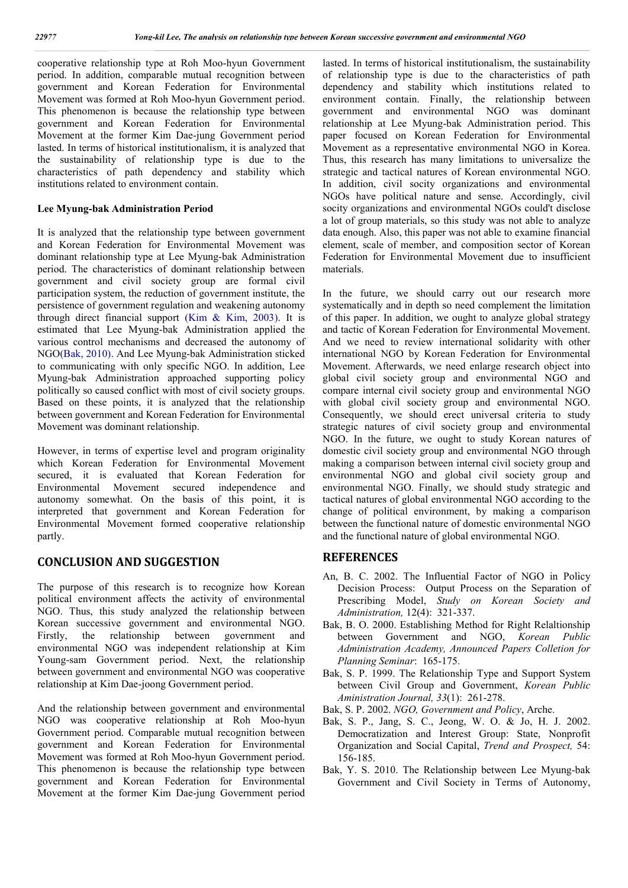cooperative relationship type at Roh Moo-hyun Government period. In addition, comparable mutual recognition between government and Korean Federation for Environmental Movement was formed at Roh Moo-hyun Government period. This phenomenon is because the relationship type between government and Korean Federation for Environmental Movement at the former Kim Dae-jung Government period lasted. In terms of historical institutionalism, it is analyzed that the sustainability of relationship type is due to the characteristics of path dependency and stability which institutions related to environment contain.

#### Lee Myung-bak Administration Period

It is analyzed that the relationship type between government and Korean Federation for Environmental Movement was dominant relationship type at Lee Myung-bak Administration period. The characteristics of dominant relationship between government and civil society group are formal civil participation system, the reduction of government institute, the persistence of government regulation and weakening autonomy through direct financial support (Kim & Kim, 2003). It is estimated that Lee Myung-bak Administration applied the various control mechanisms and decreased the autonomy of NGO(Bak, 2010). And Lee Myung-bak Administration sticked to communicating with only specific NGO. In addition, Lee Myung-bak Administration approached supporting policy politically so caused conflict with most of civil society groups. Based on these points, it is analyzed that the relationship between government and Korean Federation for Environmental Movement was dominant relationship.

However, in terms of expertise level and program originality which Korean Federation for Environmental Movement secured, it is evaluated that Korean Federation for Environmental Movement secured independence and autonomy somewhat. On the basis of this point, it is interpreted that government and Korean Federation for Environmental Movement formed cooperative relationship partly.

## CONCLUSION AND SUGGESTION

The purpose of this research is to recognize how Korean political environment affects the activity of environmental NGO. Thus, this study analyzed the relationship between Korean successive government and environmental NGO. Firstly, the relationship between government and environmental NGO was independent relationship at Kim Young-sam Government period. Next, the relationship between government and environmental NGO was cooperative relationship at Kim Dae-joong Government period.

And the relationship between government and environmental NGO was cooperative relationship at Roh Moo-hyun Government period. Comparable mutual recognition between government and Korean Federation for Environmental Movement was formed at Roh Moo-hyun Government period. This phenomenon is because the relationship type between government and Korean Federation for Environmental Movement at the former Kim Dae-jung Government period lasted. In terms of historical institutionalism, the sustainability of relationship type is due to the characteristics of path dependency and stability which institutions related to environment contain. Finally, the relationship between government and environmental NGO was dominant relationship at Lee Myung-bak Administration period. This paper focused on Korean Federation for Environmental Movement as a representative environmental NGO in Korea. Thus, this research has many limitations to universalize the strategic and tactical natures of Korean environmental NGO. In addition, civil socity organizations and environmental NGOs have political nature and sense. Accordingly, civil socity organizations and environmental NGOs could't disclose a lot of group materials, so this study was not able to analyze data enough. Also, this paper was not able to examine financial element, scale of member, and composition sector of Korean Federation for Environmental Movement due to insufficient materials.

In the future, we should carry out our research more systematically and in depth so need complement the limitation of this paper. In addition, we ought to analyze global strategy and tactic of Korean Federation for Environmental Movement. And we need to review international solidarity with other international NGO by Korean Federation for Environmental Movement. Afterwards, we need enlarge research object into global civil society group and environmental NGO and compare internal civil society group and environmental NGO with global civil society group and environmental NGO. Consequently, we should erect universal criteria to study strategic natures of civil society group and environmental NGO. In the future, we ought to study Korean natures of domestic civil society group and environmental NGO through making a comparison between internal civil society group and environmental NGO and global civil society group and environmental NGO. Finally, we should study strategic and tactical natures of global environmental NGO according to the change of political environment, by making a comparison between the functional nature of domestic environmental NGO and the functional nature of global environmental NGO.

## **REFERENCES**

- An, B. C. 2002. The Influential Factor of NGO in Policy Decision Process: Output Process on the Separation of Prescribing Model, *Study on Korean Society and Administration,* 12(4): 321-337.
- Bak, B. O. 2000. Establishing Method for Right Relaltionship between Government and NGO, *Korean Public Administration Academy, Announced Papers Colletion for Planning Seminar*: 165-175.
- Bak, S. P. 1999. The Relationship Type and Support System between Civil Group and Government, *Korean Public Aministration Journal, 33*(1): 261-278.
- Bak, S. P. 2002. *NGO, Government and Policy*, Arche.
- Bak, S. P., Jang, S. C., Jeong, W. O. & Jo, H. J. 2002. Democratization and Interest Group: State, Nonprofit Organization and Social Capital, *Trend and Prospect,* 54: 156-185.
- Bak, Y. S. 2010. The Relationship between Lee Myung-bak Government and Civil Society in Terms of Autonomy,